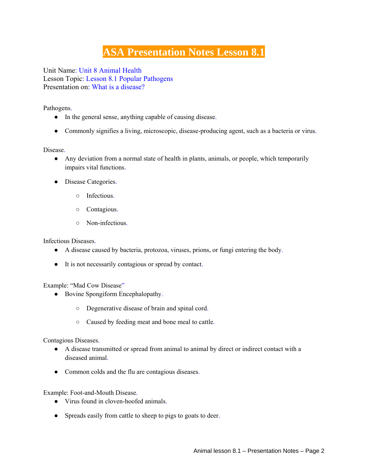## **ASA Presentation Notes Lesson 8.1**

Unit Name: Unit 8 Animal Health Lesson Topic: Lesson 8.1 Popular Pathogens Presentation on: What is a disease?

Pathogens.

- In the general sense, anything capable of causing disease.
- Commonly signifies a living, microscopic, disease-producing agent, such as a bacteria or virus.

Disease.

- Any deviation from a normal state of health in plants, animals, or people, which temporarily impairs vital functions.
- Disease Categories.
	- Infectious.
	- Contagious.
	- Non-infectious.

Infectious Diseases.

- A disease caused by bacteria, protozoa, viruses, prions, or fungi entering the body.
- It is not necessarily contagious or spread by contact.

Example: "Mad Cow Disease"

- Bovine Spongiform Encephalopathy.
	- Degenerative disease of brain and spinal cord.
	- Caused by feeding meat and bone meal to cattle.

Contagious Diseases.

- A disease transmitted or spread from animal to animal by direct or indirect contact with a diseased animal.
- Common colds and the flu are contagious diseases.

Example: Foot-and-Mouth Disease.

- Virus found in cloven-hoofed animals.
- Spreads easily from cattle to sheep to pigs to goats to deer.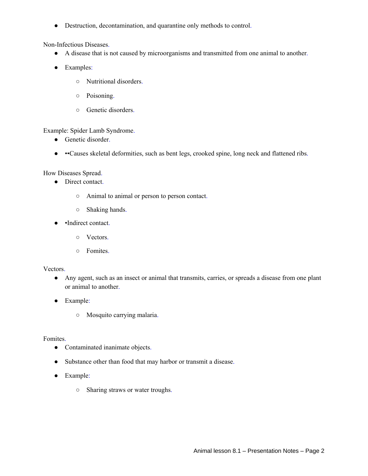● Destruction, decontamination, and quarantine only methods to control.

Non-Infectious Diseases.

- A disease that is not caused by microorganisms and transmitted from one animal to another.
- Examples:
	- Nutritional disorders.
	- Poisoning.
	- Genetic disorders.

Example: Spider Lamb Syndrome.

- Genetic disorder.
- ••Causes skeletal deformities, such as bent legs, crooked spine, long neck and flattened ribs.

How Diseases Spread.

- Direct contact.
	- Animal to animal or person to person contact.
	- Shaking hands.
- •Indirect contact.
	- Vectors.
	- Fomites.

## Vectors.

- Any agent, such as an insect or animal that transmits, carries, or spreads a disease from one plant or animal to another.
- Example:
	- Mosquito carrying malaria.

Fomites.

- Contaminated inanimate objects.
- Substance other than food that may harbor or transmit a disease.
- Example:
	- Sharing straws or water troughs.